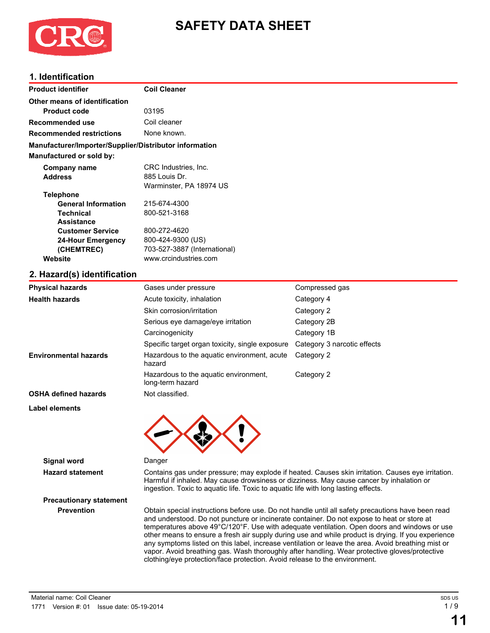

# **SAFETY DATA SHEET**

# **1. Identification**

| <b>Product identifier</b>                              | <b>Coil Cleaner</b>                                       |                             |  |  |  |
|--------------------------------------------------------|-----------------------------------------------------------|-----------------------------|--|--|--|
| Other means of identification                          |                                                           |                             |  |  |  |
| <b>Product code</b>                                    | 03195                                                     |                             |  |  |  |
| Recommended use                                        | Coil cleaner                                              |                             |  |  |  |
| <b>Recommended restrictions</b>                        | None known.                                               |                             |  |  |  |
| Manufacturer/Importer/Supplier/Distributor information |                                                           |                             |  |  |  |
| Manufactured or sold by:                               |                                                           |                             |  |  |  |
| Company name                                           | CRC Industries, Inc.                                      |                             |  |  |  |
| <b>Address</b>                                         | 885 Louis Dr.                                             |                             |  |  |  |
|                                                        | Warminster, PA 18974 US                                   |                             |  |  |  |
| <b>Telephone</b>                                       |                                                           |                             |  |  |  |
| <b>General Information</b>                             | 215-674-4300                                              |                             |  |  |  |
| <b>Technical</b>                                       | 800-521-3168                                              |                             |  |  |  |
| <b>Assistance</b>                                      |                                                           |                             |  |  |  |
| <b>Customer Service</b>                                | 800-272-4620                                              |                             |  |  |  |
| <b>24-Hour Emergency</b>                               | 800-424-9300 (US)<br>703-527-3887 (International)         |                             |  |  |  |
| (CHEMTREC)                                             |                                                           |                             |  |  |  |
| Website                                                | www.crcindustries.com                                     |                             |  |  |  |
| 2. Hazard(s) identification                            |                                                           |                             |  |  |  |
| <b>Physical hazards</b>                                | Gases under pressure                                      | Compressed gas              |  |  |  |
| <b>Health hazards</b>                                  | Acute toxicity, inhalation                                | Category 4                  |  |  |  |
|                                                        | Skin corrosion/irritation                                 | Category 2                  |  |  |  |
|                                                        | Serious eye damage/eye irritation                         | Category 2B                 |  |  |  |
|                                                        | Carcinogenicity                                           | Category 1B                 |  |  |  |
|                                                        | Specific target organ toxicity, single exposure           | Category 3 narcotic effects |  |  |  |
| <b>Environmental hazards</b>                           | Hazardous to the aquatic environment, acute<br>hazard     | Category 2                  |  |  |  |
|                                                        | Hazardous to the aquatic environment,<br>long-term hazard | Category 2                  |  |  |  |

**OSHA defined hazards** Not classified.

**Label elements**



## **Signal word** Danger

**Hazard statement** Contains gas under pressure; may explode if heated. Causes skin irritation. Causes eye irritation. Harmful if inhaled. May cause drowsiness or dizziness. May cause cancer by inhalation or ingestion. Toxic to aquatic life. Toxic to aquatic life with long lasting effects.

# **Precautionary statement**

**Prevention** Obtain special instructions before use. Do not handle until all safety precautions have been read and understood. Do not puncture or incinerate container. Do not expose to heat or store at temperatures above 49°C/120°F. Use with adequate ventilation. Open doors and windows or use other means to ensure a fresh air supply during use and while product is drying. If you experience any symptoms listed on this label, increase ventilation or leave the area. Avoid breathing mist or vapor. Avoid breathing gas. Wash thoroughly after handling. Wear protective gloves/protective clothing/eye protection/face protection. Avoid release to the environment.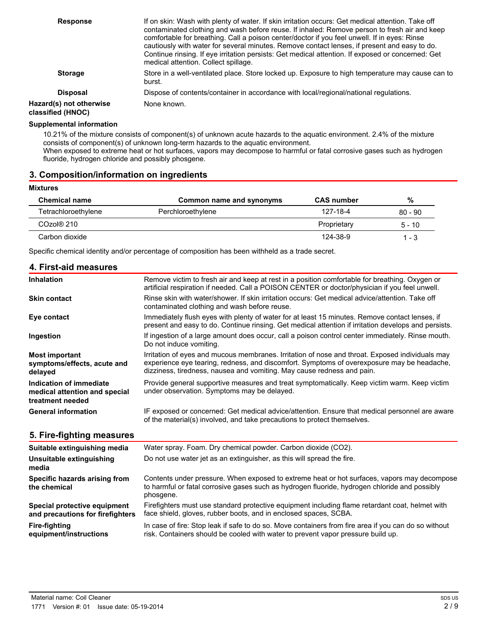| <b>Response</b>                              | If on skin: Wash with plenty of water. If skin irritation occurs: Get medical attention. Take off<br>contaminated clothing and wash before reuse. If inhaled: Remove person to fresh air and keep<br>comfortable for breathing. Call a poison center/doctor if you feel unwell. If in eyes: Rinse<br>cautiously with water for several minutes. Remove contact lenses, if present and easy to do.<br>Continue rinsing. If eye irritation persists: Get medical attention. If exposed or concerned: Get<br>medical attention. Collect spillage. |
|----------------------------------------------|------------------------------------------------------------------------------------------------------------------------------------------------------------------------------------------------------------------------------------------------------------------------------------------------------------------------------------------------------------------------------------------------------------------------------------------------------------------------------------------------------------------------------------------------|
| <b>Storage</b>                               | Store in a well-ventilated place. Store locked up. Exposure to high temperature may cause can to<br>burst.                                                                                                                                                                                                                                                                                                                                                                                                                                     |
| <b>Disposal</b>                              | Dispose of contents/container in accordance with local/regional/national regulations.                                                                                                                                                                                                                                                                                                                                                                                                                                                          |
| Hazard(s) not otherwise<br>classified (HNOC) | None known.                                                                                                                                                                                                                                                                                                                                                                                                                                                                                                                                    |

### **Supplemental information**

10.21% of the mixture consists of component(s) of unknown acute hazards to the aquatic environment. 2.4% of the mixture consists of component(s) of unknown long-term hazards to the aquatic environment. When exposed to extreme heat or hot surfaces, vapors may decompose to harmful or fatal corrosive gases such as hydrogen fluoride, hydrogen chloride and possibly phosgene.

# **3. Composition/information on ingredients**

#### **Mixtures**

| <b>Chemical name</b> | Common name and synonyms | <b>CAS number</b> | %         |
|----------------------|--------------------------|-------------------|-----------|
| Tetrachloroethylene  | Perchloroethylene        | 127-18-4          | $80 - 90$ |
| $COZO(8)$ 210        |                          | Proprietary       | $5 - 10$  |
| Carbon dioxide       |                          | 124-38-9          | 1 - 3     |

Specific chemical identity and/or percentage of composition has been withheld as a trade secret.

| 4. First-aid measures                                                        |                                                                                                                                                                                                                                                                         |
|------------------------------------------------------------------------------|-------------------------------------------------------------------------------------------------------------------------------------------------------------------------------------------------------------------------------------------------------------------------|
| Inhalation                                                                   | Remove victim to fresh air and keep at rest in a position comfortable for breathing. Oxygen or<br>artificial respiration if needed. Call a POISON CENTER or doctor/physician if you feel unwell.                                                                        |
| <b>Skin contact</b>                                                          | Rinse skin with water/shower. If skin irritation occurs: Get medical advice/attention. Take off<br>contaminated clothing and wash before reuse.                                                                                                                         |
| Eye contact                                                                  | Immediately flush eyes with plenty of water for at least 15 minutes. Remove contact lenses, if<br>present and easy to do. Continue rinsing. Get medical attention if irritation develops and persists.                                                                  |
| Ingestion                                                                    | If ingestion of a large amount does occur, call a poison control center immediately. Rinse mouth.<br>Do not induce vomiting.                                                                                                                                            |
| <b>Most important</b><br>symptoms/effects, acute and<br>delayed              | Irritation of eyes and mucous membranes. Irritation of nose and throat. Exposed individuals may<br>experience eye tearing, redness, and discomfort. Symptoms of overexposure may be headache,<br>dizziness, tiredness, nausea and vomiting. May cause redness and pain. |
| Indication of immediate<br>medical attention and special<br>treatment needed | Provide general supportive measures and treat symptomatically. Keep victim warm. Keep victim<br>under observation. Symptoms may be delayed.                                                                                                                             |
| <b>General information</b>                                                   | IF exposed or concerned: Get medical advice/attention. Ensure that medical personnel are aware<br>of the material(s) involved, and take precautions to protect themselves.                                                                                              |
| 5. Fire-fighting measures                                                    |                                                                                                                                                                                                                                                                         |
| Suitable extinguishing media                                                 | Water spray. Foam. Dry chemical powder. Carbon dioxide (CO2).                                                                                                                                                                                                           |
| Unsuitable extinguishing<br>media                                            | Do not use water jet as an extinguisher, as this will spread the fire.                                                                                                                                                                                                  |
| Specific hazards arising from<br>the chemical                                | Contents under pressure. When exposed to extreme heat or hot surfaces, vapors may decompose<br>to harmful or fatal corrosive gases such as hydrogen fluoride, hydrogen chloride and possibly<br>phosgene.                                                               |
| Special protective equipment<br>and precautions for firefighters             | Firefighters must use standard protective equipment including flame retardant coat, helmet with<br>face shield, gloves, rubber boots, and in enclosed spaces, SCBA.                                                                                                     |

**equipment/instructions** In case of fire: Stop leak if safe to do so. Move containers from fire area if you can do so without risk. Containers should be cooled with water to prevent vapor pressure build up.

**Fire-fighting**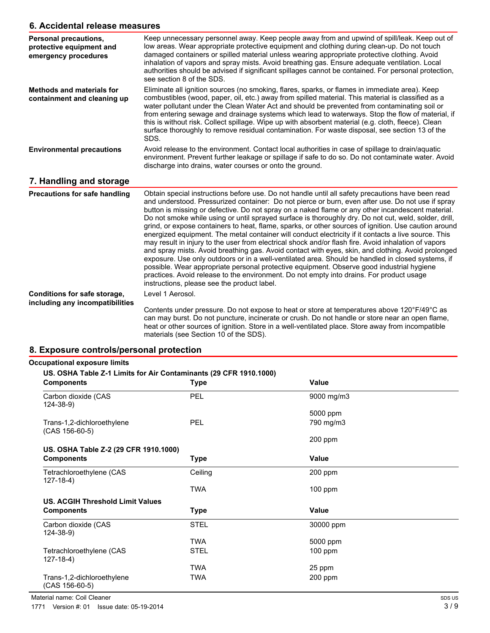# **6. Accidental release measures**

| u. Acciuental Telease Ineasules                                           |                                                                                                                                                                                                                                                                                                                                                                                                                                                                                                                                                                                                                                                                                                                                                                                                                                                                                                                                                                                                                                                                                                                                                                                                 |
|---------------------------------------------------------------------------|-------------------------------------------------------------------------------------------------------------------------------------------------------------------------------------------------------------------------------------------------------------------------------------------------------------------------------------------------------------------------------------------------------------------------------------------------------------------------------------------------------------------------------------------------------------------------------------------------------------------------------------------------------------------------------------------------------------------------------------------------------------------------------------------------------------------------------------------------------------------------------------------------------------------------------------------------------------------------------------------------------------------------------------------------------------------------------------------------------------------------------------------------------------------------------------------------|
| Personal precautions,<br>protective equipment and<br>emergency procedures | Keep unnecessary personnel away. Keep people away from and upwind of spill/leak. Keep out of<br>low areas. Wear appropriate protective equipment and clothing during clean-up. Do not touch<br>damaged containers or spilled material unless wearing appropriate protective clothing. Avoid<br>inhalation of vapors and spray mists. Avoid breathing gas. Ensure adequate ventilation. Local<br>authorities should be advised if significant spillages cannot be contained. For personal protection,<br>see section 8 of the SDS.                                                                                                                                                                                                                                                                                                                                                                                                                                                                                                                                                                                                                                                               |
| <b>Methods and materials for</b><br>containment and cleaning up           | Eliminate all ignition sources (no smoking, flares, sparks, or flames in immediate area). Keep<br>combustibles (wood, paper, oil, etc.) away from spilled material. This material is classified as a<br>water pollutant under the Clean Water Act and should be prevented from contaminating soil or<br>from entering sewage and drainage systems which lead to waterways. Stop the flow of material, if<br>this is without risk. Collect spillage. Wipe up with absorbent material (e.g. cloth, fleece). Clean<br>surface thoroughly to remove residual contamination. For waste disposal, see section 13 of the<br>SDS.                                                                                                                                                                                                                                                                                                                                                                                                                                                                                                                                                                       |
| <b>Environmental precautions</b>                                          | Avoid release to the environment. Contact local authorities in case of spillage to drain/aquatic<br>environment. Prevent further leakage or spillage if safe to do so. Do not contaminate water. Avoid<br>discharge into drains, water courses or onto the ground.                                                                                                                                                                                                                                                                                                                                                                                                                                                                                                                                                                                                                                                                                                                                                                                                                                                                                                                              |
| 7. Handling and storage                                                   |                                                                                                                                                                                                                                                                                                                                                                                                                                                                                                                                                                                                                                                                                                                                                                                                                                                                                                                                                                                                                                                                                                                                                                                                 |
| <b>Precautions for safe handling</b>                                      | Obtain special instructions before use. Do not handle until all safety precautions have been read<br>and understood. Pressurized container: Do not pierce or burn, even after use. Do not use if spray<br>button is missing or defective. Do not spray on a naked flame or any other incandescent material.<br>Do not smoke while using or until sprayed surface is thoroughly dry. Do not cut, weld, solder, drill,<br>grind, or expose containers to heat, flame, sparks, or other sources of ignition. Use caution around<br>energized equipment. The metal container will conduct electricity if it contacts a live source. This<br>may result in injury to the user from electrical shock and/or flash fire. Avoid inhalation of vapors<br>and spray mists. Avoid breathing gas. Avoid contact with eyes, skin, and clothing. Avoid prolonged<br>exposure. Use only outdoors or in a well-ventilated area. Should be handled in closed systems, if<br>possible. Wear appropriate personal protective equipment. Observe good industrial hygiene<br>practices. Avoid release to the environment. Do not empty into drains. For product usage<br>instructions, please see the product label. |
| Conditions for safe storage,<br>including any incompatibilities           | Level 1 Aerosol.                                                                                                                                                                                                                                                                                                                                                                                                                                                                                                                                                                                                                                                                                                                                                                                                                                                                                                                                                                                                                                                                                                                                                                                |

Contents under pressure. Do not expose to heat or store at temperatures above 120°F/49°C as can may burst. Do not puncture, incinerate or crush. Do not handle or store near an open flame, heat or other sources of ignition. Store in a well-ventilated place. Store away from incompatible materials (see Section 10 of the SDS).

## **8. Exposure controls/personal protection**

| <b>Components</b>                              | <b>Type</b> | Value        |  |
|------------------------------------------------|-------------|--------------|--|
| Carbon dioxide (CAS<br>$124 - 38 - 9$          | <b>PEL</b>  | 9000 mg/m3   |  |
|                                                |             | 5000 ppm     |  |
| Trans-1,2-dichloroethylene<br>$(CAS 156-60-5)$ | <b>PEL</b>  | 790 mg/m3    |  |
|                                                |             | $200$ ppm    |  |
| US. OSHA Table Z-2 (29 CFR 1910.1000)          |             |              |  |
| <b>Components</b>                              | Type        | Value        |  |
| Tetrachloroethylene (CAS<br>$127-18-4)$        | Ceiling     | 200 ppm      |  |
|                                                | <b>TWA</b>  | $100$ ppm    |  |
| <b>US. ACGIH Threshold Limit Values</b>        |             |              |  |
| <b>Components</b>                              | Type        | <b>Value</b> |  |
| Carbon dioxide (CAS<br>$124 - 38 - 9$          | <b>STEL</b> | 30000 ppm    |  |
|                                                | <b>TWA</b>  | 5000 ppm     |  |
| Tetrachloroethylene (CAS<br>$127-18-4)$        | <b>STEL</b> | $100$ ppm    |  |
|                                                | <b>TWA</b>  | 25 ppm       |  |
| Trans-1,2-dichloroethylene<br>$(CAS 156-60-5)$ | TWA         | 200 ppm      |  |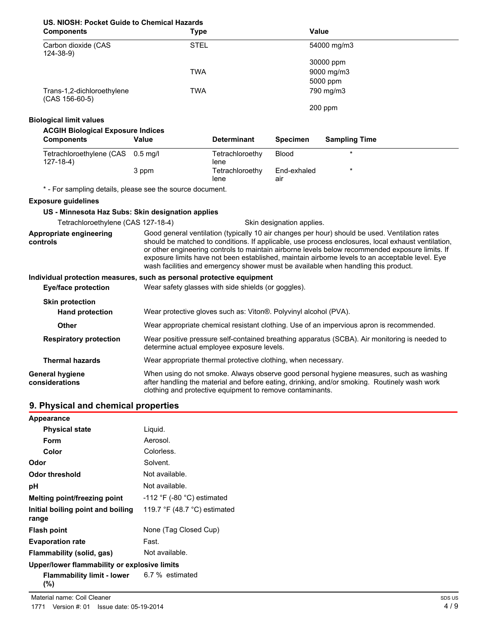# **US. NIOSH: Pocket Guide to Chemical Hazards**

| <b>Components</b>                              | <b>Type</b> | Value       |  |
|------------------------------------------------|-------------|-------------|--|
| Carbon dioxide (CAS<br>$124 - 38 - 9$          | <b>STEL</b> | 54000 mg/m3 |  |
|                                                |             | 30000 ppm   |  |
|                                                | <b>TWA</b>  | 9000 mg/m3  |  |
|                                                |             | 5000 ppm    |  |
| Trans-1,2-dichloroethylene<br>$(CAS 156-60-5)$ | <b>TWA</b>  | 790 mg/m3   |  |
|                                                |             | $200$ ppm   |  |

## **Biological limit values**

| <b>ACGIH Biological Exposure Indices</b> |
|------------------------------------------|
|                                          |

| <b>Components</b>                                   | Value | <b>Determinant</b>      | <b>Specimen</b>    | <b>Sampling Time</b> |  |
|-----------------------------------------------------|-------|-------------------------|--------------------|----------------------|--|
| Tetrachloroethylene (CAS 0.5 mg/l<br>$127 - 18 - 4$ |       | Tetrachloroethy<br>lene | <b>Blood</b>       |                      |  |
|                                                     | 3 ppm | Tetrachloroethy<br>lene | End-exhaled<br>aır |                      |  |

\* - For sampling details, please see the source document.

### **Exposure guidelines**

## **US - Minnesota Haz Subs: Skin designation applies**

| Tetrachloroethylene (CAS 127-18-4)       | Skin designation applies.                                                                                                                                                                                                                                                                                                                                                                                                                                                                        |  |
|------------------------------------------|--------------------------------------------------------------------------------------------------------------------------------------------------------------------------------------------------------------------------------------------------------------------------------------------------------------------------------------------------------------------------------------------------------------------------------------------------------------------------------------------------|--|
| Appropriate engineering<br>controls      | Good general ventilation (typically 10 air changes per hour) should be used. Ventilation rates<br>should be matched to conditions. If applicable, use process enclosures, local exhaust ventilation,<br>or other engineering controls to maintain airborne levels below recommended exposure limits. If<br>exposure limits have not been established, maintain airborne levels to an acceptable level. Eye<br>wash facilities and emergency shower must be available when handling this product. |  |
|                                          | Individual protection measures, such as personal protective equipment                                                                                                                                                                                                                                                                                                                                                                                                                            |  |
| Eye/face protection                      | Wear safety glasses with side shields (or goggles).                                                                                                                                                                                                                                                                                                                                                                                                                                              |  |
| <b>Skin protection</b>                   |                                                                                                                                                                                                                                                                                                                                                                                                                                                                                                  |  |
| <b>Hand protection</b>                   | Wear protective gloves such as: Viton®. Polyvinyl alcohol (PVA).                                                                                                                                                                                                                                                                                                                                                                                                                                 |  |
| <b>Other</b>                             | Wear appropriate chemical resistant clothing. Use of an impervious apron is recommended.                                                                                                                                                                                                                                                                                                                                                                                                         |  |
| <b>Respiratory protection</b>            | Wear positive pressure self-contained breathing apparatus (SCBA). Air monitoring is needed to<br>determine actual employee exposure levels.                                                                                                                                                                                                                                                                                                                                                      |  |
| <b>Thermal hazards</b>                   | Wear appropriate thermal protective clothing, when necessary.                                                                                                                                                                                                                                                                                                                                                                                                                                    |  |
| <b>General hygiene</b><br>considerations | When using do not smoke. Always observe good personal hygiene measures, such as washing<br>after handling the material and before eating, drinking, and/or smoking. Routinely wash work<br>clothing and protective equipment to remove contaminants.                                                                                                                                                                                                                                             |  |

# **9. Physical and chemical properties**

| <b>Appearance</b>                                        |                                                |  |
|----------------------------------------------------------|------------------------------------------------|--|
| <b>Physical state</b>                                    | Liquid.                                        |  |
| Form                                                     | Aerosol.                                       |  |
| Color                                                    | Colorless.                                     |  |
| Odor                                                     | Solvent.                                       |  |
| Odor threshold                                           | Not available.                                 |  |
| рH                                                       | Not available.                                 |  |
| Melting point/freezing point                             | $-112$ °F (-80 °C) estimated                   |  |
| Initial boiling point and boiling<br>range               | 119.7 $\degree$ F (48.7 $\degree$ C) estimated |  |
| <b>Flash point</b>                                       | None (Tag Closed Cup)                          |  |
| <b>Evaporation rate</b>                                  | Fast.                                          |  |
| Flammability (solid, gas)                                | Not available.                                 |  |
| Upper/lower flammability or explosive limits             |                                                |  |
| <b>Flammability limit - lower</b> 6.7 % estimated<br>(%) |                                                |  |

Material name: Coil Cleaner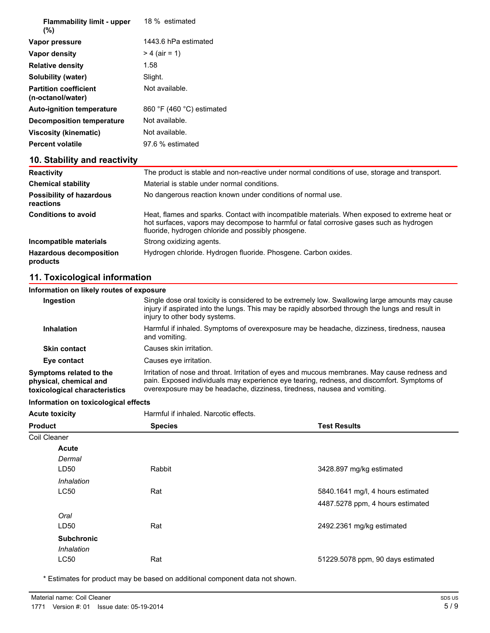| <b>Flammability limit - upper</b><br>(%)          | 18 % estimated                              |
|---------------------------------------------------|---------------------------------------------|
| Vapor pressure                                    | 1443.6 hPa estimated                        |
| Vapor density                                     | $> 4$ (air = 1)                             |
| <b>Relative density</b>                           | 1.58                                        |
| Solubility (water)                                | Slight.                                     |
| <b>Partition coefficient</b><br>(n-octanol/water) | Not available.                              |
| <b>Auto-ignition temperature</b>                  | 860 $\degree$ F (460 $\degree$ C) estimated |
| <b>Decomposition temperature</b>                  | Not available.                              |
| Viscosity (kinematic)                             | Not available.                              |
| <b>Percent volatile</b>                           | 97.6 % estimated                            |

# **10. Stability and reactivity**

| <b>Reactivity</b>                            | The product is stable and non-reactive under normal conditions of use, storage and transport.                                                                                                                                                  |  |  |
|----------------------------------------------|------------------------------------------------------------------------------------------------------------------------------------------------------------------------------------------------------------------------------------------------|--|--|
| <b>Chemical stability</b>                    | Material is stable under normal conditions.                                                                                                                                                                                                    |  |  |
| <b>Possibility of hazardous</b><br>reactions | No dangerous reaction known under conditions of normal use.                                                                                                                                                                                    |  |  |
| <b>Conditions to avoid</b>                   | Heat, flames and sparks. Contact with incompatible materials. When exposed to extreme heat or<br>hot surfaces, vapors may decompose to harmful or fatal corrosive gases such as hydrogen<br>fluoride, hydrogen chloride and possibly phosgene. |  |  |
| Incompatible materials                       | Strong oxidizing agents.                                                                                                                                                                                                                       |  |  |
| <b>Hazardous decomposition</b><br>products   | Hydrogen chloride. Hydrogen fluoride. Phosgene. Carbon oxides.                                                                                                                                                                                 |  |  |

# **11. Toxicological information**

## **Information on likely routes of exposure**

| Ingestion                                                                          | Single dose oral toxicity is considered to be extremely low. Swallowing large amounts may cause<br>injury if aspirated into the lungs. This may be rapidly absorbed through the lungs and result in<br>injury to other body systems.                                    |
|------------------------------------------------------------------------------------|-------------------------------------------------------------------------------------------------------------------------------------------------------------------------------------------------------------------------------------------------------------------------|
| Inhalation                                                                         | Harmful if inhaled. Symptoms of overexposure may be headache, dizziness, tiredness, nausea<br>and vomiting.                                                                                                                                                             |
| <b>Skin contact</b>                                                                | Causes skin irritation.                                                                                                                                                                                                                                                 |
| Eye contact                                                                        | Causes eye irritation.                                                                                                                                                                                                                                                  |
| Symptoms related to the<br>physical, chemical and<br>toxicological characteristics | Irritation of nose and throat. Irritation of eyes and mucous membranes. May cause redness and<br>pain. Exposed individuals may experience eye tearing, redness, and discomfort. Symptoms of<br>overexposure may be headache, dizziness, tiredness, nausea and vomiting. |

# **Information on toxicological effects**

| <b>Acute toxicity</b> | Harmful if inhaled. Narcotic effects. |                                   |  |
|-----------------------|---------------------------------------|-----------------------------------|--|
| <b>Product</b>        | <b>Species</b>                        | <b>Test Results</b>               |  |
| Coil Cleaner          |                                       |                                   |  |
| <b>Acute</b>          |                                       |                                   |  |
| Dermal                |                                       |                                   |  |
| LD50                  | Rabbit                                | 3428.897 mg/kg estimated          |  |
| Inhalation            |                                       |                                   |  |
| <b>LC50</b>           | Rat                                   | 5840.1641 mg/l, 4 hours estimated |  |
|                       |                                       | 4487.5278 ppm, 4 hours estimated  |  |
| Oral                  |                                       |                                   |  |
| LD50                  | Rat                                   | 2492.2361 mg/kg estimated         |  |
| <b>Subchronic</b>     |                                       |                                   |  |
| Inhalation            |                                       |                                   |  |
| <b>LC50</b>           | Rat                                   | 51229.5078 ppm, 90 days estimated |  |
|                       |                                       |                                   |  |

\* Estimates for product may be based on additional component data not shown.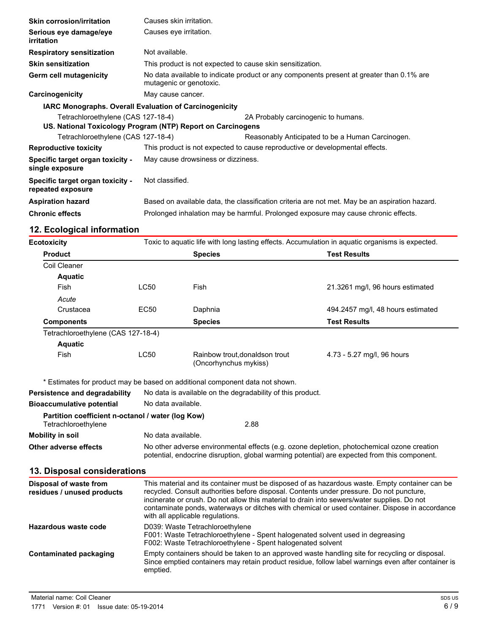| <b>Skin corrosion/irritation</b>                      | Causes skin irritation.                                                                                             |                                                  |
|-------------------------------------------------------|---------------------------------------------------------------------------------------------------------------------|--------------------------------------------------|
| Serious eye damage/eye<br>irritation                  | Causes eye irritation.                                                                                              |                                                  |
| <b>Respiratory sensitization</b>                      | Not available.                                                                                                      |                                                  |
| <b>Skin sensitization</b>                             | This product is not expected to cause skin sensitization.                                                           |                                                  |
| <b>Germ cell mutagenicity</b>                         | No data available to indicate product or any components present at greater than 0.1% are<br>mutagenic or genotoxic. |                                                  |
| Carcinogenicity                                       | May cause cancer.                                                                                                   |                                                  |
|                                                       | IARC Monographs. Overall Evaluation of Carcinogenicity                                                              |                                                  |
| Tetrachloroethylene (CAS 127-18-4)                    | US. National Toxicology Program (NTP) Report on Carcinogens                                                         | 2A Probably carcinogenic to humans.              |
| Tetrachloroethylene (CAS 127-18-4)                    |                                                                                                                     | Reasonably Anticipated to be a Human Carcinogen. |
| <b>Reproductive toxicity</b>                          | This product is not expected to cause reproductive or developmental effects.                                        |                                                  |
| Specific target organ toxicity -<br>single exposure   | May cause drowsiness or dizziness.                                                                                  |                                                  |
| Specific target organ toxicity -<br>repeated exposure | Not classified.                                                                                                     |                                                  |
| <b>Aspiration hazard</b>                              | Based on available data, the classification criteria are not met. May be an aspiration hazard.                      |                                                  |
| <b>Chronic effects</b>                                | Prolonged inhalation may be harmful. Prolonged exposure may cause chronic effects.                                  |                                                  |
|                                                       |                                                                                                                     |                                                  |

# **12. Ecological information**

| Ecotoxicity                        |                  | Toxic to aquatic life with long lasting effects. Accumulation in aquatic organisms is expected. |                                   |  |
|------------------------------------|------------------|-------------------------------------------------------------------------------------------------|-----------------------------------|--|
| <b>Product</b>                     |                  | <b>Species</b>                                                                                  | <b>Test Results</b>               |  |
| Coil Cleaner                       |                  |                                                                                                 |                                   |  |
| <b>Aquatic</b>                     |                  |                                                                                                 |                                   |  |
| Fish                               | <b>LC50</b>      | Fish                                                                                            | 21.3261 mg/l, 96 hours estimated  |  |
| Acute                              |                  |                                                                                                 |                                   |  |
| Crustacea                          | EC <sub>50</sub> | Daphnia                                                                                         | 494.2457 mg/l, 48 hours estimated |  |
| <b>Components</b>                  |                  | <b>Species</b>                                                                                  | <b>Test Results</b>               |  |
| Tetrachloroethylene (CAS 127-18-4) |                  |                                                                                                 |                                   |  |
| <b>Aquatic</b>                     |                  |                                                                                                 |                                   |  |
| <b>Fish</b>                        | <b>LC50</b>      | Rainbow trout, donaldson trout<br>(Oncorhynchus mykiss)                                         | 4.73 - 5.27 mg/l, 96 hours        |  |

\* Estimates for product may be based on additional component data not shown.

**Persistence and degradability** No data is available on the degradability of this product.

| <b>Bioaccumulative potential</b>                  | No data available.                                                                                                                                                                         |  |
|---------------------------------------------------|--------------------------------------------------------------------------------------------------------------------------------------------------------------------------------------------|--|
| Partition coefficient n-octanol / water (log Kow) |                                                                                                                                                                                            |  |
| Tetrachloroethylene                               | 2.88                                                                                                                                                                                       |  |
| Mobility in soil                                  | No data available.                                                                                                                                                                         |  |
| Other adverse effects                             | No other adverse environmental effects (e.g. ozone depletion, photochemical ozone creation<br>potential, endocrine disruption, global warming potential) are expected from this component. |  |

## **13. Disposal considerations**

| Disposal of waste from<br>residues / unused products | This material and its container must be disposed of as hazardous waste. Empty container can be<br>recycled. Consult authorities before disposal. Contents under pressure. Do not puncture,<br>incinerate or crush. Do not allow this material to drain into sewers/water supplies. Do not<br>contaminate ponds, waterways or ditches with chemical or used container. Dispose in accordance<br>with all applicable regulations. |
|------------------------------------------------------|---------------------------------------------------------------------------------------------------------------------------------------------------------------------------------------------------------------------------------------------------------------------------------------------------------------------------------------------------------------------------------------------------------------------------------|
| Hazardous waste code                                 | D039: Waste Tetrachloroethylene<br>F001: Waste Tetrachloroethylene - Spent halogenated solvent used in degreasing<br>F002: Waste Tetrachloroethylene - Spent halogenated solvent                                                                                                                                                                                                                                                |
| <b>Contaminated packaging</b>                        | Empty containers should be taken to an approved waste handling site for recycling or disposal.<br>Since emptied containers may retain product residue, follow label warnings even after container is<br>emptied.                                                                                                                                                                                                                |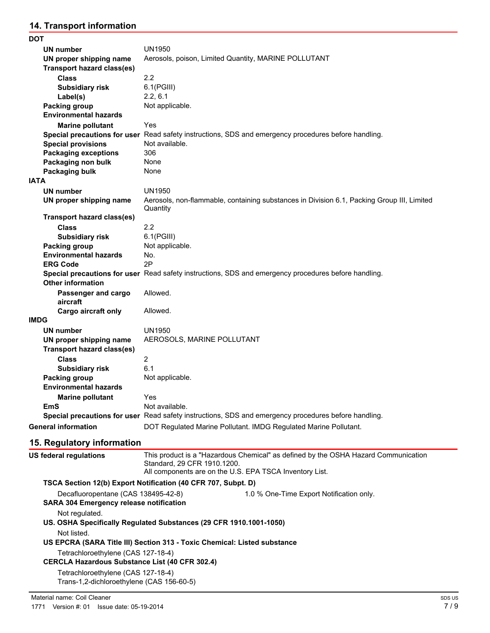# **14. Transport information**

| <b>DOT</b>                        |                                                                                                        |
|-----------------------------------|--------------------------------------------------------------------------------------------------------|
| UN number                         | <b>UN1950</b>                                                                                          |
| UN proper shipping name           | Aerosols, poison, Limited Quantity, MARINE POLLUTANT                                                   |
| <b>Transport hazard class(es)</b> |                                                                                                        |
| <b>Class</b>                      | 2.2                                                                                                    |
| <b>Subsidiary risk</b>            | $6.1$ (PGIII)                                                                                          |
| Label(s)                          | 2.2, 6.1                                                                                               |
| <b>Packing group</b>              | Not applicable.                                                                                        |
| <b>Environmental hazards</b>      |                                                                                                        |
| <b>Marine pollutant</b>           | Yes                                                                                                    |
|                                   | Special precautions for user Read safety instructions, SDS and emergency procedures before handling.   |
| <b>Special provisions</b>         | Not available.                                                                                         |
| <b>Packaging exceptions</b>       | 306                                                                                                    |
| Packaging non bulk                | None                                                                                                   |
| <b>Packaging bulk</b>             | None                                                                                                   |
| <b>IATA</b>                       |                                                                                                        |
| <b>UN number</b>                  | <b>UN1950</b>                                                                                          |
| UN proper shipping name           | Aerosols, non-flammable, containing substances in Division 6.1, Packing Group III, Limited<br>Quantity |
| <b>Transport hazard class(es)</b> |                                                                                                        |
| <b>Class</b>                      | 2.2                                                                                                    |
| <b>Subsidiary risk</b>            | $6.1$ (PGIII)                                                                                          |
| <b>Packing group</b>              | Not applicable.                                                                                        |
| <b>Environmental hazards</b>      | No.                                                                                                    |
| <b>ERG Code</b>                   | 2P                                                                                                     |
| <b>Other information</b>          | Special precautions for user Read safety instructions, SDS and emergency procedures before handling.   |
| Passenger and cargo<br>aircraft   | Allowed.                                                                                               |
| <b>Cargo aircraft only</b>        | Allowed.                                                                                               |
| IMDG                              |                                                                                                        |
| <b>UN number</b>                  | <b>UN1950</b>                                                                                          |
| UN proper shipping name           | AEROSOLS, MARINE POLLUTANT                                                                             |
| <b>Transport hazard class(es)</b> |                                                                                                        |
| <b>Class</b>                      | $\overline{2}$                                                                                         |
| <b>Subsidiary risk</b>            | 6.1                                                                                                    |
| <b>Packing group</b>              | Not applicable.                                                                                        |
| <b>Environmental hazards</b>      |                                                                                                        |
| <b>Marine pollutant</b>           | Yes                                                                                                    |
| EmS                               | Not available.                                                                                         |
|                                   | Special precautions for user Read safety instructions, SDS and emergency procedures before handling.   |
| <b>General information</b>        | DOT Regulated Marine Pollutant. IMDG Regulated Marine Pollutant.                                       |
|                                   |                                                                                                        |

# **15. Regulatory information**

| <b>US federal regulations</b>                                                         | Standard, 29 CFR 1910.1200.                                                                                                                    | This product is a "Hazardous Chemical" as defined by the OSHA Hazard Communication<br>All components are on the U.S. EPA TSCA Inventory List. |  |
|---------------------------------------------------------------------------------------|------------------------------------------------------------------------------------------------------------------------------------------------|-----------------------------------------------------------------------------------------------------------------------------------------------|--|
| TSCA Section 12(b) Export Notification (40 CFR 707, Subpt. D)                         |                                                                                                                                                |                                                                                                                                               |  |
| Decafluoropentane (CAS 138495-42-8)<br><b>SARA 304 Emergency release notification</b> |                                                                                                                                                | 1.0 % One-Time Export Notification only.                                                                                                      |  |
| Not regulated.<br>Not listed.                                                         | US. OSHA Specifically Regulated Substances (29 CFR 1910.1001-1050)<br>US EPCRA (SARA Title III) Section 313 - Toxic Chemical: Listed substance |                                                                                                                                               |  |
| Tetrachloroethylene (CAS 127-18-4)                                                    | <b>CERCLA Hazardous Substance List (40 CFR 302.4)</b>                                                                                          |                                                                                                                                               |  |
| Tetrachloroethylene (CAS 127-18-4)                                                    | Trans-1,2-dichloroethylene (CAS 156-60-5)                                                                                                      |                                                                                                                                               |  |
| Material name: Coil Cleaner                                                           |                                                                                                                                                | SDS US                                                                                                                                        |  |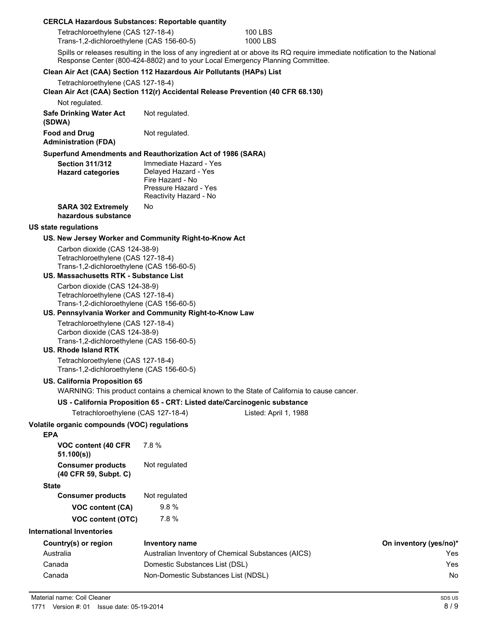#### **CERCLA Hazardous Substances: Reportable quantity**

| Tetrachloroethylene (CAS 127-18-4)        | 100 LBS  |
|-------------------------------------------|----------|
| Trans-1,2-dichloroethylene (CAS 156-60-5) | 1000 LBS |

Spills or releases resulting in the loss of any ingredient at or above its RQ require immediate notification to the National Response Center (800-424-8802) and to your Local Emergency Planning Committee.

#### **Clean Air Act (CAA) Section 112 Hazardous Air Pollutants (HAPs) List**

Tetrachloroethylene (CAS 127-18-4)

**Clean Air Act (CAA) Section 112(r) Accidental Release Prevention (40 CFR 68.130)**

Not regulated.

| <b>Safe Drinking Water Act</b> | Not regulated. |
|--------------------------------|----------------|
| (SDWA)<br><b>Food and Drug</b> | Not regulated. |
| Administration (FBA)           |                |

**Administration (FDA) Superfund Amendments and Reauthorization Act of 1986 (SARA)**

| <b>Section 311/312</b><br><b>Hazard categories</b> | Immediate Hazard - Yes<br>Delayed Hazard - Yes<br>Fire Hazard - No<br>Pressure Hazard - Yes<br>Reactivity Hazard - No |
|----------------------------------------------------|-----------------------------------------------------------------------------------------------------------------------|
| <b>SARA 302 Extremely</b><br>hazardous substance   | No                                                                                                                    |

#### **US state regulations**

#### **US. New Jersey Worker and Community Right-to-Know Act**

Carbon dioxide (CAS 124-38-9) Tetrachloroethylene (CAS 127-18-4) Trans-1,2-dichloroethylene (CAS 156-60-5)

## **US. Massachusetts RTK - Substance List** Carbon dioxide (CAS 124-38-9)

Tetrachloroethylene (CAS 127-18-4) Trans-1,2-dichloroethylene (CAS 156-60-5)

#### **US. Pennsylvania Worker and Community Right-to-Know Law**

Tetrachloroethylene (CAS 127-18-4) Carbon dioxide (CAS 124-38-9) Trans-1,2-dichloroethylene (CAS 156-60-5)

#### **US. Rhode Island RTK**

Tetrachloroethylene (CAS 127-18-4) Trans-1,2-dichloroethylene (CAS 156-60-5)

#### **US. California Proposition 65**

WARNING: This product contains a chemical known to the State of California to cause cancer.

#### **US - California Proposition 65 - CRT: Listed date/Carcinogenic substance**

Tetrachloroethylene (CAS 127-18-4) Listed: April 1, 1988

## **Volatile organic compounds (VOC) regulations**

#### **EPA**

| <b>VOC content (40 CFR)</b><br>51.100(s)          | 7.8%          |
|---------------------------------------------------|---------------|
| <b>Consumer products</b><br>(40 CFR 59, Subpt. C) | Not regulated |
| <b>State</b>                                      |               |
| <b>Consumer products</b>                          | Not regulated |
| <b>VOC content (CA)</b>                           | $9.8\%$       |
| <b>VOC content (OTC)</b>                          | 7.8%          |

### **International Inventories**

| Country(s) or region | Inventory name                                     | On inventory (yes/no)* |
|----------------------|----------------------------------------------------|------------------------|
| Australia            | Australian Inventory of Chemical Substances (AICS) | Yes                    |
| Canada               | Domestic Substances List (DSL)                     | Yes                    |
| Canada               | Non-Domestic Substances List (NDSL)                | No                     |